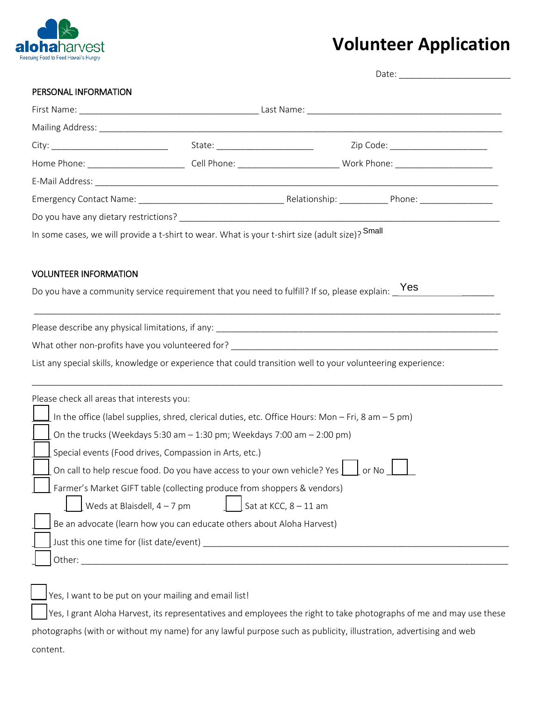

## **Volunteer Application**

| PERSONAL INFORMATION                       |                                                                                                              |                         |       |
|--------------------------------------------|--------------------------------------------------------------------------------------------------------------|-------------------------|-------|
|                                            |                                                                                                              |                         |       |
|                                            |                                                                                                              |                         |       |
|                                            |                                                                                                              |                         |       |
|                                            |                                                                                                              |                         |       |
|                                            |                                                                                                              |                         |       |
|                                            |                                                                                                              |                         |       |
|                                            |                                                                                                              |                         |       |
|                                            | In some cases, we will provide a t-shirt to wear. What is your t-shirt size (adult size)? Small              |                         |       |
|                                            |                                                                                                              |                         |       |
|                                            |                                                                                                              |                         |       |
|                                            |                                                                                                              |                         |       |
|                                            |                                                                                                              |                         |       |
|                                            | List any special skills, knowledge or experience that could transition well to your volunteering experience: |                         |       |
|                                            |                                                                                                              |                         |       |
|                                            |                                                                                                              |                         |       |
|                                            | In the office (label supplies, shred, clerical duties, etc. Office Hours: Mon - Fri, 8 am - 5 pm)            |                         |       |
|                                            | $\vert$ [ On the trucks (Weekdays 5:30 am – 1:30 pm; Weekdays 7:00 am – 2:00 pm)                             |                         |       |
|                                            | Special events (Food drives, Compassion in Arts, etc.)                                                       |                         |       |
|                                            | On call to help rescue food. Do you have access to your own vehicle? Yes                                     |                         | or No |
|                                            | Farmer's Market GIFT table (collecting produce from shoppers & vendors)                                      |                         |       |
| Weds at Blaisdell, $4 - 7$ pm              |                                                                                                              | Sat at KCC, $8 - 11$ am |       |
|                                            | Be an advocate (learn how you can educate others about Aloha Harvest)                                        |                         |       |
| Please check all areas that interests you: |                                                                                                              |                         |       |

 $\rfloor$ Yes, I grant Aloha Harvest, its representatives and employees the right to take photographs of me and may use these photographs (with or without my name) for any lawful purpose such as publicity, illustration, advertising and web content.